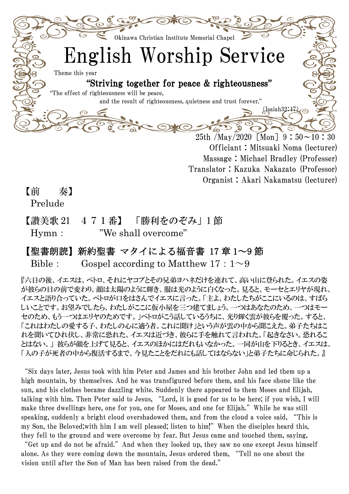

Translator:Kazuka Nakazato (Professor) Organist:Akari Nakamatsu (lecturer)

【前 奏】

Prelude

【讃美歌 21 471番】 「勝利をのぞみ」1 節 Hymn: "We shall overcome"

## 【聖書朗読】新約聖書 マタイによる福音書 17 章 1~9 節

Bible: Gospel according to Matthew  $17:1^{\sim}9$ 

『六日の後、イエスは、ペトロ、それにヤコブとその兄弟ヨハネだけを連れて、高い山に登られた。イエスの姿 が彼らの目の前で変わり、顔は太陽のように輝き、服は光のように白くなった。見ると、モーセとエリヤが現れ、 イエスと語り合っていた。ペトロが口をはさんでイエスに言った。「主よ、わたしたちがここにいるのは、すばら しいことです。お望みでしたら、わたしがここに仮小屋を三つ建てましょう。一つはあなたのため、一つはモー セのため、もう一つはエリヤのためです。」ペトロがこう話しているうちに、光り輝く雲が彼らを覆った。すると、 「これはわたしの愛する子、わたしの心に適う者。これに聞け」という声が雲の中から聞こえた。弟子たちはこ れを聞いてひれ伏し、非常に恐れた。イエスは近づき、彼らに手を触れて言われた。「起きなさい。恐れるこ とはない。」 彼らが顔を上げて見ると、イエスのほかにはだれもいなかった。一同が山を下りるとき、イエスは、 「人の子が死者の中から復活するまで、今見たことをだれにも話してはならない」と弟子たちに命じられた。』

"Six days later, Jesus took with him Peter and James and his brother John and led them up a high mountain, by themselves. And he was transfigured before them, and his face shone like the sun, and his clothes became dazzling white. Suddenly there appeared to them Moses and Elijah, talking with him. Then Peter said to Jesus, "Lord, it is good for us to be here; if you wish, I will make three dwellings here, one for you, one for Moses, and one for Elijah." While he was still speaking, suddenly a bright cloud overshadowed them, and from the cloud a voice said, "This is my Son, the Beloved; with him I am well pleased; listen to him!" When the disciples heard this, they fell to the ground and were overcome by fear. But Jesus came and touched them, saying,

"Get up and do not be afraid."And when they looked up, they saw no one except Jesus himself alone. As they were coming down the mountain, Jesus ordered them, "Tell no one about the vision until after the Son of Man has been raised from the dead."